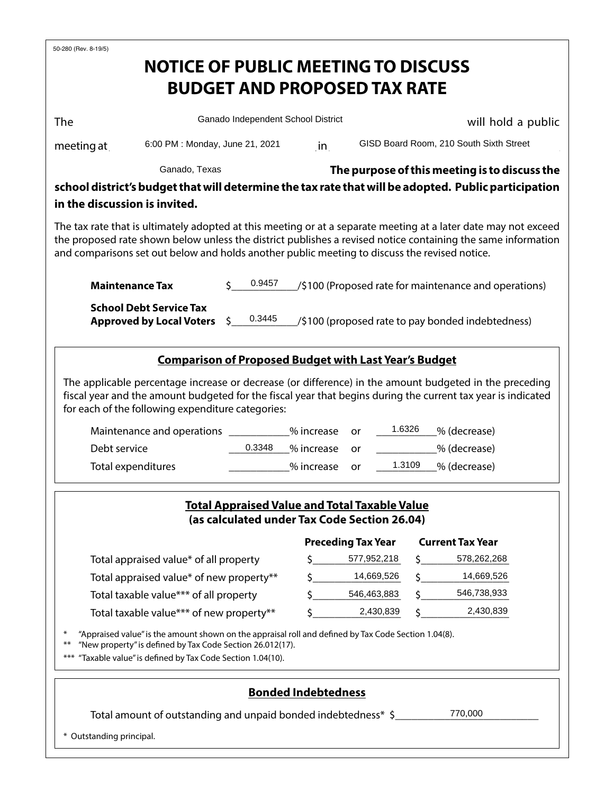| 50-280 (Rev. 8-19/5)                                                                                                                                                                                                                                                                                                                                    |                                    |                    |                                     |                     |                                                       |  |  |  |
|---------------------------------------------------------------------------------------------------------------------------------------------------------------------------------------------------------------------------------------------------------------------------------------------------------------------------------------------------------|------------------------------------|--------------------|-------------------------------------|---------------------|-------------------------------------------------------|--|--|--|
| <b>NOTICE OF PUBLIC MEETING TO DISCUSS</b>                                                                                                                                                                                                                                                                                                              |                                    |                    |                                     |                     |                                                       |  |  |  |
|                                                                                                                                                                                                                                                                                                                                                         |                                    |                    | <b>BUDGET AND PROPOSED TAX RATE</b> |                     |                                                       |  |  |  |
|                                                                                                                                                                                                                                                                                                                                                         |                                    |                    |                                     |                     |                                                       |  |  |  |
| The                                                                                                                                                                                                                                                                                                                                                     | Ganado Independent School District |                    |                                     |                     | will hold a public                                    |  |  |  |
| 6:00 PM : Monday, June 21, 2021<br>meeting at                                                                                                                                                                                                                                                                                                           |                                    | in                 |                                     |                     | GISD Board Room, 210 South Sixth Street               |  |  |  |
| Ganado, Texas                                                                                                                                                                                                                                                                                                                                           |                                    |                    |                                     |                     | The purpose of this meeting is to discuss the         |  |  |  |
| school district's budget that will determine the tax rate that will be adopted. Public participation                                                                                                                                                                                                                                                    |                                    |                    |                                     |                     |                                                       |  |  |  |
| in the discussion is invited.                                                                                                                                                                                                                                                                                                                           |                                    |                    |                                     |                     |                                                       |  |  |  |
| The tax rate that is ultimately adopted at this meeting or at a separate meeting at a later date may not exceed<br>the proposed rate shown below unless the district publishes a revised notice containing the same information<br>and comparisons set out below and holds another public meeting to discuss the revised notice.                        |                                    |                    |                                     |                     |                                                       |  |  |  |
| <b>Maintenance Tax</b>                                                                                                                                                                                                                                                                                                                                  | 0.9457                             |                    |                                     |                     | /\$100 (Proposed rate for maintenance and operations) |  |  |  |
| <b>School Debt Service Tax</b><br><b>Approved by Local Voters</b>                                                                                                                                                                                                                                                                                       | 0.3445<br>\$                       |                    |                                     |                     | /\$100 (proposed rate to pay bonded indebtedness)     |  |  |  |
| <b>Comparison of Proposed Budget with Last Year's Budget</b>                                                                                                                                                                                                                                                                                            |                                    |                    |                                     |                     |                                                       |  |  |  |
| The applicable percentage increase or decrease (or difference) in the amount budgeted in the preceding<br>fiscal year and the amount budgeted for the fiscal year that begins during the current tax year is indicated<br>for each of the following expenditure categories:<br>1.6326<br>Maintenance and operations<br>% increase<br>% (decrease)<br>or |                                    |                    |                                     |                     |                                                       |  |  |  |
| Debt service                                                                                                                                                                                                                                                                                                                                            | 0.3348<br>% increase               |                    |                                     | _% (decrease)<br>or |                                                       |  |  |  |
| Total expenditures                                                                                                                                                                                                                                                                                                                                      |                                    | % increase         | 1.3109<br>% (decrease)<br><b>or</b> |                     |                                                       |  |  |  |
| <b>Total Appraised Value and Total Taxable Value</b><br>(as calculated under Tax Code Section 26.04)<br><b>Preceding Tax Year</b><br><b>Current Tax Year</b>                                                                                                                                                                                            |                                    |                    |                                     |                     |                                                       |  |  |  |
| Total appraised value* of all property                                                                                                                                                                                                                                                                                                                  |                                    |                    | \$577,952,218                       |                     | 578,262,268                                           |  |  |  |
| Total appraised value* of new property**                                                                                                                                                                                                                                                                                                                |                                    | $\zeta$ 14,669,526 |                                     | \$14,669,526        |                                                       |  |  |  |
| Total taxable value*** of all property                                                                                                                                                                                                                                                                                                                  | Ś.                                 | 546,463,883        |                                     | 546,738,933         |                                                       |  |  |  |
| Total taxable value*** of new property**                                                                                                                                                                                                                                                                                                                |                                    |                    | 2,430,839                           |                     | 2,430,839                                             |  |  |  |
| "Appraised value" is the amount shown on the appraisal roll and defined by Tax Code Section 1.04(8).<br>"New property" is defined by Tax Code Section 26.012(17).<br>$***$<br>"Taxable value" is defined by Tax Code Section 1.04(10).<br>***                                                                                                           |                                    |                    |                                     |                     |                                                       |  |  |  |
| <b>Bonded Indebtedness</b>                                                                                                                                                                                                                                                                                                                              |                                    |                    |                                     |                     |                                                       |  |  |  |
| 770,000<br>Total amount of outstanding and unpaid bonded indebtedness* \$                                                                                                                                                                                                                                                                               |                                    |                    |                                     |                     |                                                       |  |  |  |
| * Outstanding principal.                                                                                                                                                                                                                                                                                                                                |                                    |                    |                                     |                     |                                                       |  |  |  |